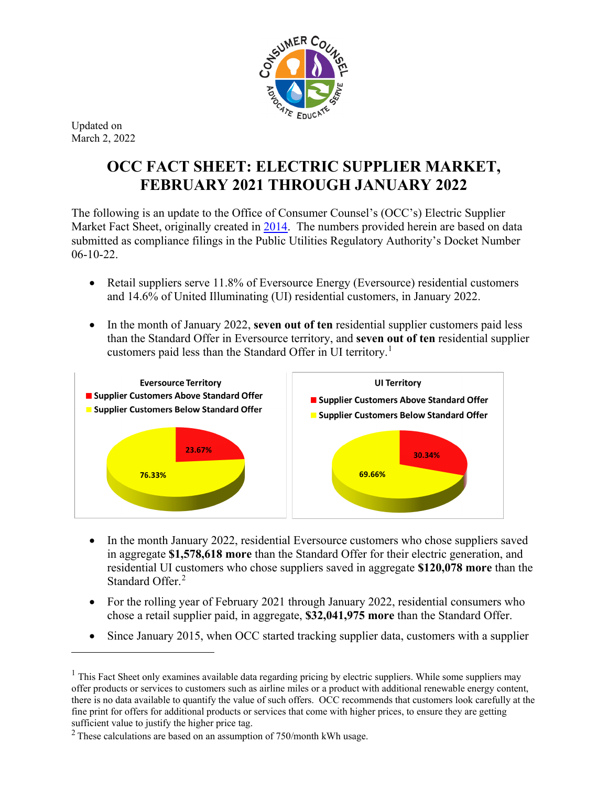

Updated on March 2, 2022

 $\overline{a}$ 

## **OCC FACT SHEET: ELECTRIC SUPPLIER MARKET, FEBRUARY 2021 THROUGH JANUARY 2022**

The following is an update to the Office of Consumer Counsel's (OCC's) Electric Supplier Market Fact Sheet, originally created in [2014.](http://www.ct.gov/occ/lib/occ/occ_files_testimony_regarding_electric_suppliers_in_pura_docket_no__13-07-18.pdf) The numbers provided herein are based on data submitted as compliance filings in the Public Utilities Regulatory Authority's Docket Number 06-10-22.

- Retail suppliers serve 11.8% of Eversource Energy (Eversource) residential customers and 14.6% of United Illuminating (UI) residential customers, in January 2022.
- In the month of January 2022, **seven out of ten** residential supplier customers paid less than the Standard Offer in Eversource territory, and **seven out of ten** residential supplier customers paid less than the Standard Offer in UI territory.<sup>[1](#page-0-0)</sup>



- In the month January 2022, residential Eversource customers who chose suppliers saved in aggregate **\$1,578,618 more** than the Standard Offer for their electric generation, and residential UI customers who chose suppliers saved in aggregate **\$120,078 more** than the Standard Offer. [2](#page-0-1)
- For the rolling year of February 2021 through January 2022, residential consumers who chose a retail supplier paid, in aggregate, **\$32,041,975 more** than the Standard Offer.
- Since January 2015, when OCC started tracking supplier data, customers with a supplier

<span id="page-0-0"></span> $1$  This Fact Sheet only examines available data regarding pricing by electric suppliers. While some suppliers may offer products or services to customers such as airline miles or a product with additional renewable energy content, there is no data available to quantify the value of such offers. OCC recommends that customers look carefully at the fine print for offers for additional products or services that come with higher prices, to ensure they are getting sufficient value to justify the higher price tag.

<span id="page-0-1"></span> $2$  These calculations are based on an assumption of 750/month kWh usage.